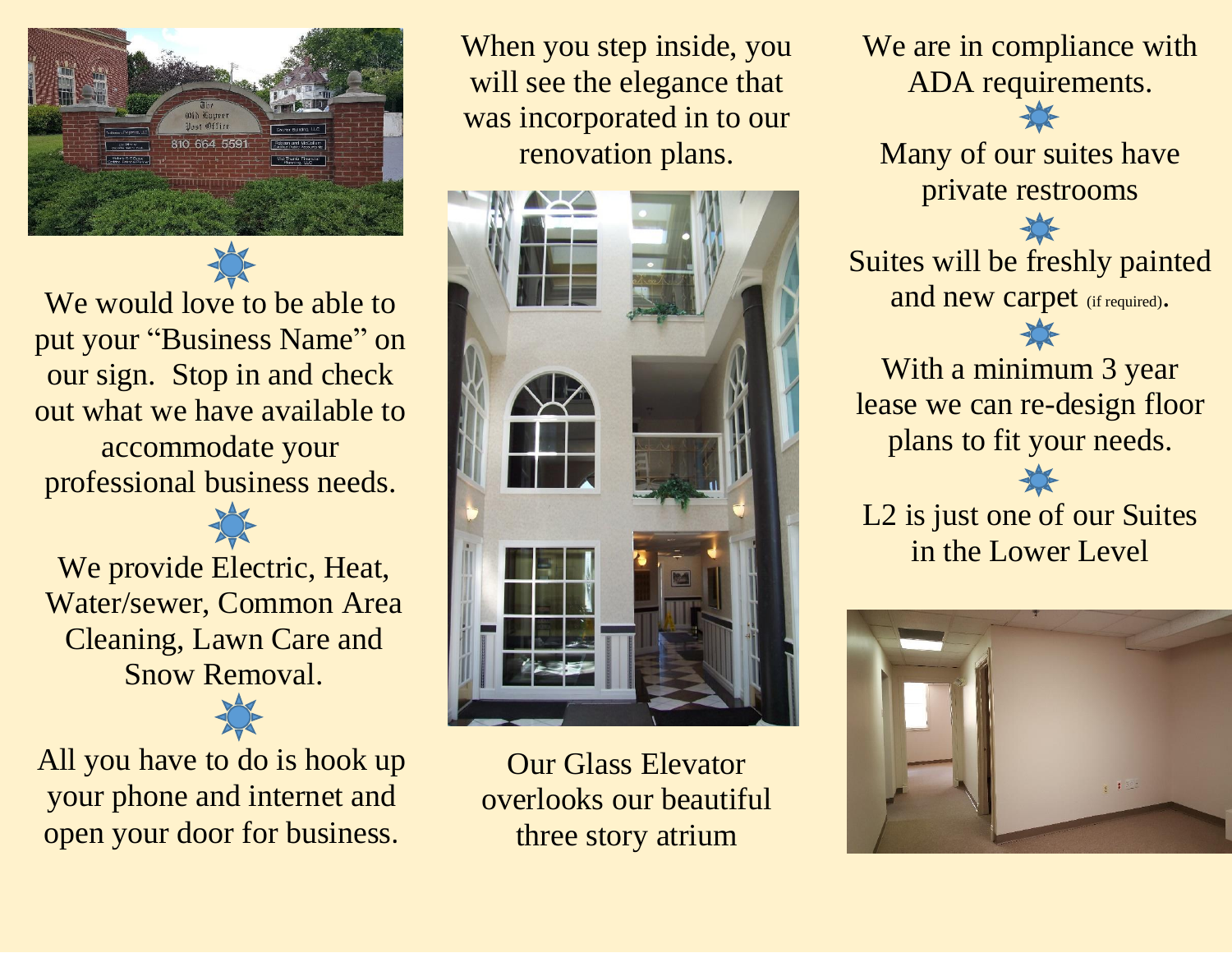

We would love to be able to put your "Business Name" on our sign. Stop in and check out what we have available to accommodate your professional business needs.

We provide Electric, Heat, Water/sewer, Common Area Cleaning, Lawn Care and Snow Removal.

All you have to do is hook up your phone and internet and open your door for business.

When you step inside, you will see the elegance that was incorporated in to our renovation plans.



Our Glass Elevator overlooks our beautiful three story atrium

We are in compliance with ADA requirements.

Many of our suites have private restrooms

Suites will be freshly painted and new carpet (if required).

 $\sum$ 

With a minimum 3 year lease we can re-design floor plans to fit your needs.

L2 is just one of our Suites in the Lower Level